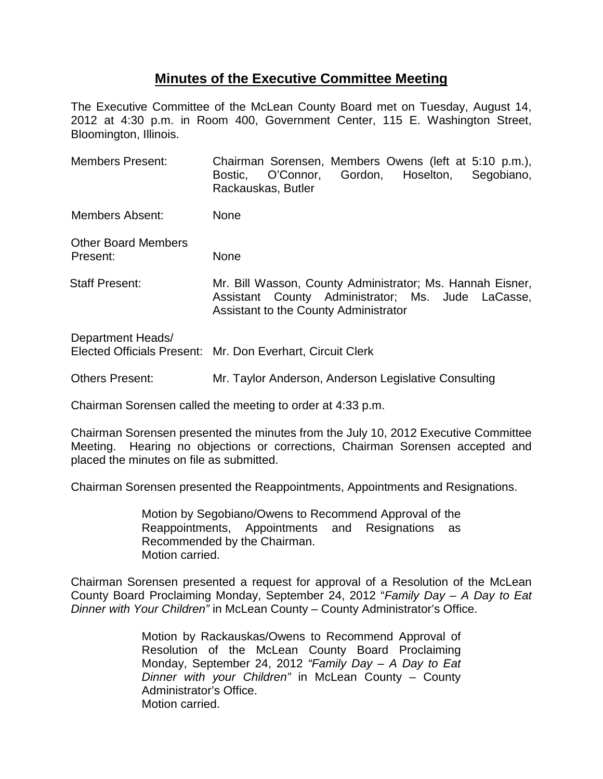## **Minutes of the Executive Committee Meeting**

The Executive Committee of the McLean County Board met on Tuesday, August 14, 2012 at 4:30 p.m. in Room 400, Government Center, 115 E. Washington Street, Bloomington, Illinois.

| <b>Members Present:</b>                | Chairman Sorensen, Members Owens (left at 5:10 p.m.),<br>O'Connor, Gordon, Hoselton,<br>Segobiano,<br>Bostic,<br>Rackauskas, Butler                     |
|----------------------------------------|---------------------------------------------------------------------------------------------------------------------------------------------------------|
| <b>Members Absent:</b>                 | None                                                                                                                                                    |
| <b>Other Board Members</b><br>Present: | None                                                                                                                                                    |
| <b>Staff Present:</b>                  | Mr. Bill Wasson, County Administrator; Ms. Hannah Eisner,<br>Assistant County Administrator; Ms. Jude LaCasse,<br>Assistant to the County Administrator |
| Department Heads/                      | Elected Officials Present: Mr. Don Everhart, Circuit Clerk                                                                                              |

Others Present: Mr. Taylor Anderson, Anderson Legislative Consulting

Chairman Sorensen called the meeting to order at 4:33 p.m.

Chairman Sorensen presented the minutes from the July 10, 2012 Executive Committee Meeting. Hearing no objections or corrections, Chairman Sorensen accepted and placed the minutes on file as submitted.

Chairman Sorensen presented the Reappointments, Appointments and Resignations.

Motion by Segobiano/Owens to Recommend Approval of the Reappointments, Appointments and Resignations as Recommended by the Chairman. Motion carried.

Chairman Sorensen presented a request for approval of a Resolution of the McLean County Board Proclaiming Monday, September 24, 2012 "*Family Day – A Day to Eat Dinner with Your Children"* in McLean County *–* County Administrator's Office.

> Motion by Rackauskas/Owens to Recommend Approval of Resolution of the McLean County Board Proclaiming Monday, September 24, 2012 *"Family Day – A Day to Eat Dinner with your Children"* in McLean County – County Administrator's Office. Motion carried.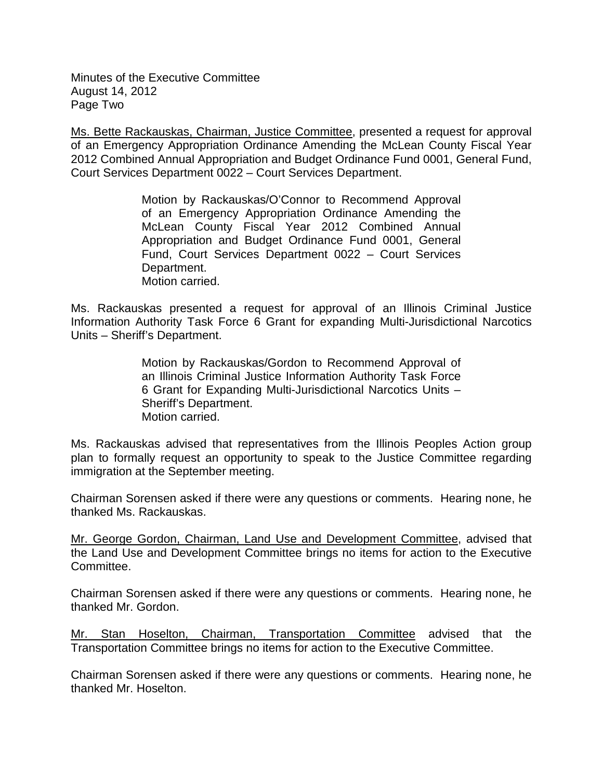Minutes of the Executive Committee August 14, 2012 Page Two

Ms. Bette Rackauskas, Chairman, Justice Committee, presented a request for approval of an Emergency Appropriation Ordinance Amending the McLean County Fiscal Year 2012 Combined Annual Appropriation and Budget Ordinance Fund 0001, General Fund, Court Services Department 0022 – Court Services Department.

> Motion by Rackauskas/O'Connor to Recommend Approval of an Emergency Appropriation Ordinance Amending the McLean County Fiscal Year 2012 Combined Annual Appropriation and Budget Ordinance Fund 0001, General Fund, Court Services Department 0022 – Court Services Department. Motion carried.

Ms. Rackauskas presented a request for approval of an Illinois Criminal Justice Information Authority Task Force 6 Grant for expanding Multi-Jurisdictional Narcotics Units – Sheriff's Department.

> Motion by Rackauskas/Gordon to Recommend Approval of an Illinois Criminal Justice Information Authority Task Force 6 Grant for Expanding Multi-Jurisdictional Narcotics Units – Sheriff's Department. Motion carried.

Ms. Rackauskas advised that representatives from the Illinois Peoples Action group plan to formally request an opportunity to speak to the Justice Committee regarding immigration at the September meeting.

Chairman Sorensen asked if there were any questions or comments. Hearing none, he thanked Ms. Rackauskas.

Mr. George Gordon, Chairman, Land Use and Development Committee, advised that the Land Use and Development Committee brings no items for action to the Executive Committee.

Chairman Sorensen asked if there were any questions or comments. Hearing none, he thanked Mr. Gordon.

Mr. Stan Hoselton, Chairman, Transportation Committee advised that the Transportation Committee brings no items for action to the Executive Committee.

Chairman Sorensen asked if there were any questions or comments. Hearing none, he thanked Mr. Hoselton.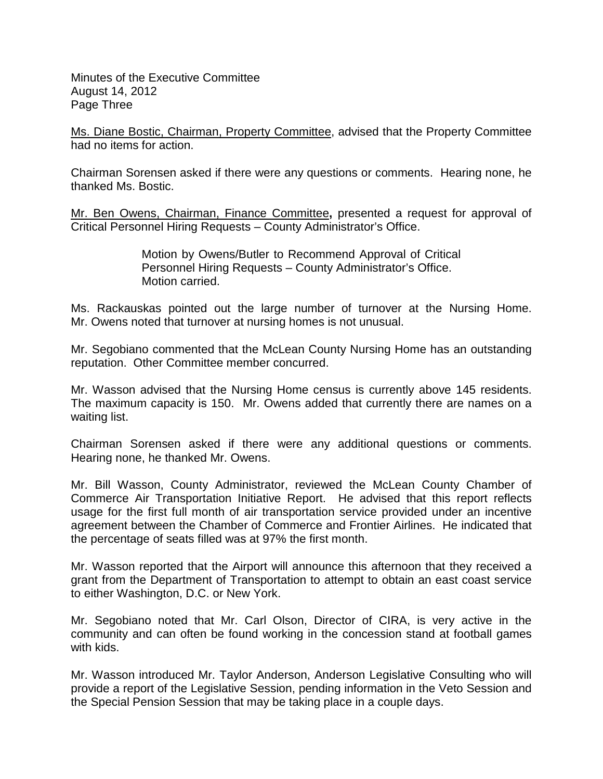Minutes of the Executive Committee August 14, 2012 Page Three

Ms. Diane Bostic, Chairman, Property Committee, advised that the Property Committee had no items for action.

Chairman Sorensen asked if there were any questions or comments. Hearing none, he thanked Ms. Bostic.

Mr. Ben Owens, Chairman, Finance Committee**,** presented a request for approval of Critical Personnel Hiring Requests – County Administrator's Office.

> Motion by Owens/Butler to Recommend Approval of Critical Personnel Hiring Requests – County Administrator's Office. Motion carried.

Ms. Rackauskas pointed out the large number of turnover at the Nursing Home. Mr. Owens noted that turnover at nursing homes is not unusual.

Mr. Segobiano commented that the McLean County Nursing Home has an outstanding reputation. Other Committee member concurred.

Mr. Wasson advised that the Nursing Home census is currently above 145 residents. The maximum capacity is 150. Mr. Owens added that currently there are names on a waiting list.

Chairman Sorensen asked if there were any additional questions or comments. Hearing none, he thanked Mr. Owens.

Mr. Bill Wasson, County Administrator, reviewed the McLean County Chamber of Commerce Air Transportation Initiative Report. He advised that this report reflects usage for the first full month of air transportation service provided under an incentive agreement between the Chamber of Commerce and Frontier Airlines. He indicated that the percentage of seats filled was at 97% the first month.

Mr. Wasson reported that the Airport will announce this afternoon that they received a grant from the Department of Transportation to attempt to obtain an east coast service to either Washington, D.C. or New York.

Mr. Segobiano noted that Mr. Carl Olson, Director of CIRA, is very active in the community and can often be found working in the concession stand at football games with kids.

Mr. Wasson introduced Mr. Taylor Anderson, Anderson Legislative Consulting who will provide a report of the Legislative Session, pending information in the Veto Session and the Special Pension Session that may be taking place in a couple days.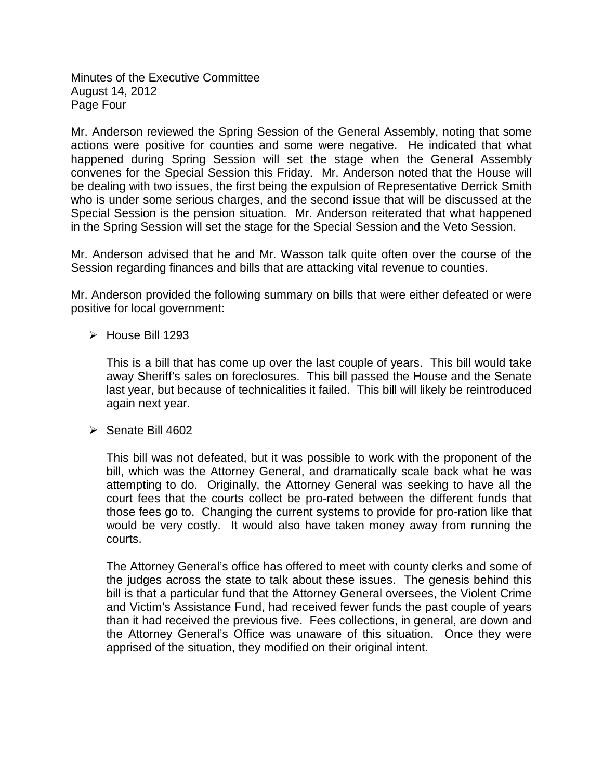Minutes of the Executive Committee August 14, 2012 Page Four

Mr. Anderson reviewed the Spring Session of the General Assembly, noting that some actions were positive for counties and some were negative. He indicated that what happened during Spring Session will set the stage when the General Assembly convenes for the Special Session this Friday. Mr. Anderson noted that the House will be dealing with two issues, the first being the expulsion of Representative Derrick Smith who is under some serious charges, and the second issue that will be discussed at the Special Session is the pension situation. Mr. Anderson reiterated that what happened in the Spring Session will set the stage for the Special Session and the Veto Session.

Mr. Anderson advised that he and Mr. Wasson talk quite often over the course of the Session regarding finances and bills that are attacking vital revenue to counties.

Mr. Anderson provided the following summary on bills that were either defeated or were positive for local government:

 $\triangleright$  House Bill 1293

This is a bill that has come up over the last couple of years. This bill would take away Sheriff's sales on foreclosures. This bill passed the House and the Senate last year, but because of technicalities it failed. This bill will likely be reintroduced again next year.

 $\triangleright$  Senate Bill 4602

This bill was not defeated, but it was possible to work with the proponent of the bill, which was the Attorney General, and dramatically scale back what he was attempting to do. Originally, the Attorney General was seeking to have all the court fees that the courts collect be pro-rated between the different funds that those fees go to. Changing the current systems to provide for pro-ration like that would be very costly. It would also have taken money away from running the courts.

The Attorney General's office has offered to meet with county clerks and some of the judges across the state to talk about these issues. The genesis behind this bill is that a particular fund that the Attorney General oversees, the Violent Crime and Victim's Assistance Fund, had received fewer funds the past couple of years than it had received the previous five. Fees collections, in general, are down and the Attorney General's Office was unaware of this situation. Once they were apprised of the situation, they modified on their original intent.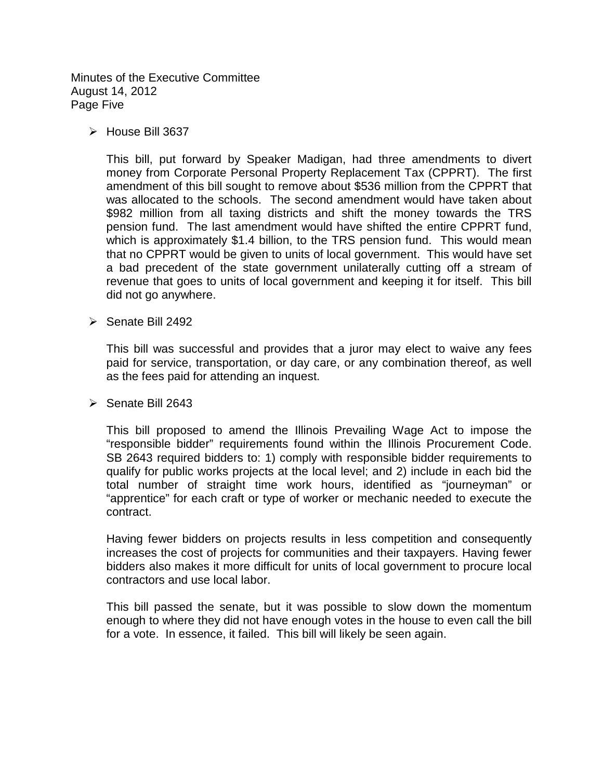Minutes of the Executive Committee August 14, 2012 Page Five

 $\triangleright$  House Bill 3637

This bill, put forward by Speaker Madigan, had three amendments to divert money from Corporate Personal Property Replacement Tax (CPPRT). The first amendment of this bill sought to remove about \$536 million from the CPPRT that was allocated to the schools. The second amendment would have taken about \$982 million from all taxing districts and shift the money towards the TRS pension fund. The last amendment would have shifted the entire CPPRT fund, which is approximately \$1.4 billion, to the TRS pension fund. This would mean that no CPPRT would be given to units of local government. This would have set a bad precedent of the state government unilaterally cutting off a stream of revenue that goes to units of local government and keeping it for itself. This bill did not go anywhere.

 $\triangleright$  Senate Bill 2492

This bill was successful and provides that a juror may elect to waive any fees paid for service, transportation, or day care, or any combination thereof, as well as the fees paid for attending an inquest.

 $\triangleright$  Senate Bill 2643

This bill proposed to amend the Illinois Prevailing Wage Act to impose the "responsible bidder" requirements found within the Illinois Procurement Code. SB 2643 required bidders to: 1) comply with responsible bidder requirements to qualify for public works projects at the local level; and 2) include in each bid the total number of straight time work hours, identified as "journeyman" or "apprentice" for each craft or type of worker or mechanic needed to execute the contract.

Having fewer bidders on projects results in less competition and consequently increases the cost of projects for communities and their taxpayers. Having fewer bidders also makes it more difficult for units of local government to procure local contractors and use local labor.

This bill passed the senate, but it was possible to slow down the momentum enough to where they did not have enough votes in the house to even call the bill for a vote. In essence, it failed. This bill will likely be seen again.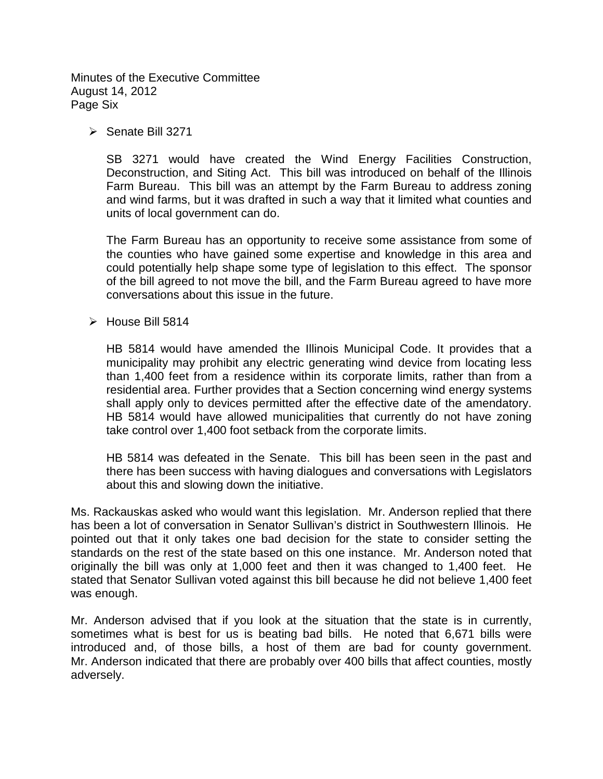Minutes of the Executive Committee August 14, 2012 Page Six

 $\triangleright$  Senate Bill 3271

SB 3271 would have created the Wind Energy Facilities Construction, Deconstruction, and Siting Act. This bill was introduced on behalf of the Illinois Farm Bureau. This bill was an attempt by the Farm Bureau to address zoning and wind farms, but it was drafted in such a way that it limited what counties and units of local government can do.

The Farm Bureau has an opportunity to receive some assistance from some of the counties who have gained some expertise and knowledge in this area and could potentially help shape some type of legislation to this effect. The sponsor of the bill agreed to not move the bill, and the Farm Bureau agreed to have more conversations about this issue in the future.

 $\triangleright$  House Bill 5814

HB 5814 would have amended the Illinois Municipal Code. It provides that a municipality may prohibit any electric generating wind device from locating less than 1,400 feet from a residence within its corporate limits, rather than from a residential area. Further provides that a Section concerning wind energy systems shall apply only to devices permitted after the effective date of the amendatory. HB 5814 would have allowed municipalities that currently do not have zoning take control over 1,400 foot setback from the corporate limits.

HB 5814 was defeated in the Senate. This bill has been seen in the past and there has been success with having dialogues and conversations with Legislators about this and slowing down the initiative.

Ms. Rackauskas asked who would want this legislation. Mr. Anderson replied that there has been a lot of conversation in Senator Sullivan's district in Southwestern Illinois. He pointed out that it only takes one bad decision for the state to consider setting the standards on the rest of the state based on this one instance. Mr. Anderson noted that originally the bill was only at 1,000 feet and then it was changed to 1,400 feet. He stated that Senator Sullivan voted against this bill because he did not believe 1,400 feet was enough.

Mr. Anderson advised that if you look at the situation that the state is in currently, sometimes what is best for us is beating bad bills. He noted that 6,671 bills were introduced and, of those bills, a host of them are bad for county government. Mr. Anderson indicated that there are probably over 400 bills that affect counties, mostly adversely.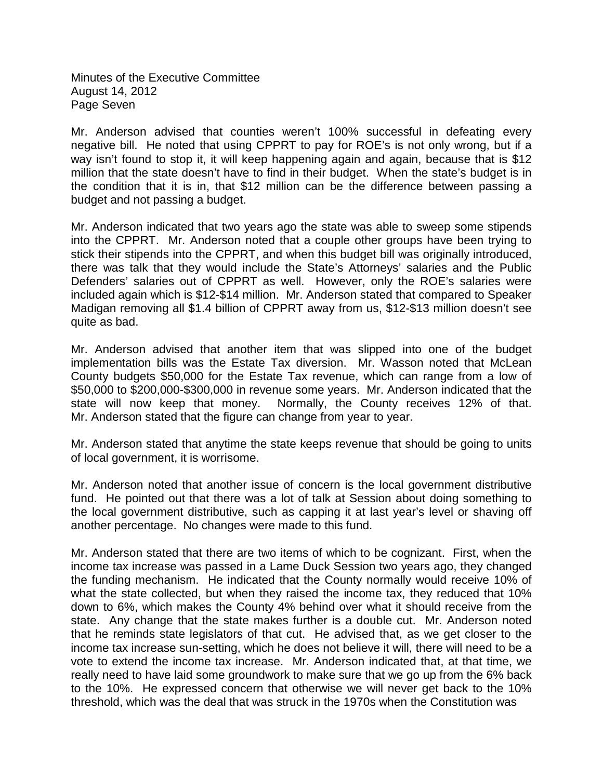Minutes of the Executive Committee August 14, 2012 Page Seven

Mr. Anderson advised that counties weren't 100% successful in defeating every negative bill. He noted that using CPPRT to pay for ROE's is not only wrong, but if a way isn't found to stop it, it will keep happening again and again, because that is \$12 million that the state doesn't have to find in their budget. When the state's budget is in the condition that it is in, that \$12 million can be the difference between passing a budget and not passing a budget.

Mr. Anderson indicated that two years ago the state was able to sweep some stipends into the CPPRT. Mr. Anderson noted that a couple other groups have been trying to stick their stipends into the CPPRT, and when this budget bill was originally introduced, there was talk that they would include the State's Attorneys' salaries and the Public Defenders' salaries out of CPPRT as well. However, only the ROE's salaries were included again which is \$12-\$14 million. Mr. Anderson stated that compared to Speaker Madigan removing all \$1.4 billion of CPPRT away from us, \$12-\$13 million doesn't see quite as bad.

Mr. Anderson advised that another item that was slipped into one of the budget implementation bills was the Estate Tax diversion. Mr. Wasson noted that McLean County budgets \$50,000 for the Estate Tax revenue, which can range from a low of \$50,000 to \$200,000-\$300,000 in revenue some years. Mr. Anderson indicated that the state will now keep that money. Normally, the County receives 12% of that. Mr. Anderson stated that the figure can change from year to year.

Mr. Anderson stated that anytime the state keeps revenue that should be going to units of local government, it is worrisome.

Mr. Anderson noted that another issue of concern is the local government distributive fund. He pointed out that there was a lot of talk at Session about doing something to the local government distributive, such as capping it at last year's level or shaving off another percentage. No changes were made to this fund.

Mr. Anderson stated that there are two items of which to be cognizant. First, when the income tax increase was passed in a Lame Duck Session two years ago, they changed the funding mechanism. He indicated that the County normally would receive 10% of what the state collected, but when they raised the income tax, they reduced that 10% down to 6%, which makes the County 4% behind over what it should receive from the state. Any change that the state makes further is a double cut. Mr. Anderson noted that he reminds state legislators of that cut. He advised that, as we get closer to the income tax increase sun-setting, which he does not believe it will, there will need to be a vote to extend the income tax increase. Mr. Anderson indicated that, at that time, we really need to have laid some groundwork to make sure that we go up from the 6% back to the 10%. He expressed concern that otherwise we will never get back to the 10% threshold, which was the deal that was struck in the 1970s when the Constitution was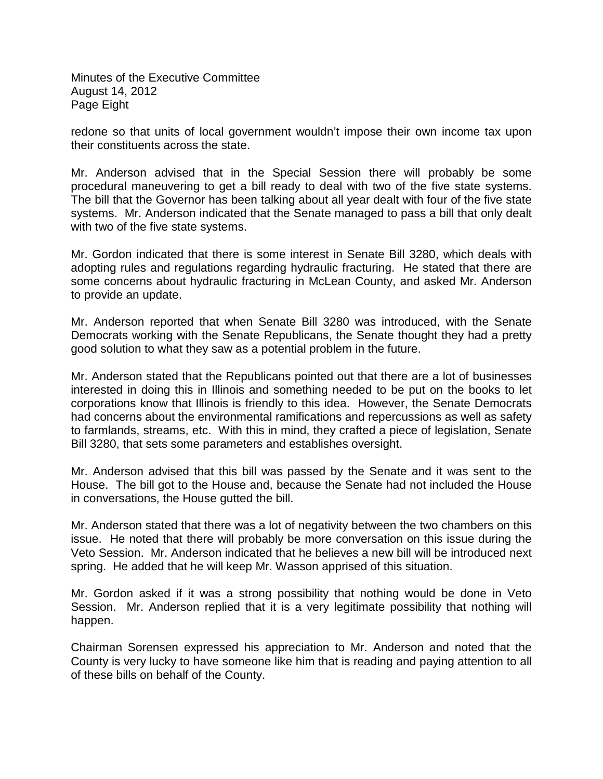Minutes of the Executive Committee August 14, 2012 Page Eight

redone so that units of local government wouldn't impose their own income tax upon their constituents across the state.

Mr. Anderson advised that in the Special Session there will probably be some procedural maneuvering to get a bill ready to deal with two of the five state systems. The bill that the Governor has been talking about all year dealt with four of the five state systems. Mr. Anderson indicated that the Senate managed to pass a bill that only dealt with two of the five state systems.

Mr. Gordon indicated that there is some interest in Senate Bill 3280, which deals with adopting rules and regulations regarding hydraulic fracturing. He stated that there are some concerns about hydraulic fracturing in McLean County, and asked Mr. Anderson to provide an update.

Mr. Anderson reported that when Senate Bill 3280 was introduced, with the Senate Democrats working with the Senate Republicans, the Senate thought they had a pretty good solution to what they saw as a potential problem in the future.

Mr. Anderson stated that the Republicans pointed out that there are a lot of businesses interested in doing this in Illinois and something needed to be put on the books to let corporations know that Illinois is friendly to this idea. However, the Senate Democrats had concerns about the environmental ramifications and repercussions as well as safety to farmlands, streams, etc. With this in mind, they crafted a piece of legislation, Senate Bill 3280, that sets some parameters and establishes oversight.

Mr. Anderson advised that this bill was passed by the Senate and it was sent to the House. The bill got to the House and, because the Senate had not included the House in conversations, the House gutted the bill.

Mr. Anderson stated that there was a lot of negativity between the two chambers on this issue. He noted that there will probably be more conversation on this issue during the Veto Session. Mr. Anderson indicated that he believes a new bill will be introduced next spring. He added that he will keep Mr. Wasson apprised of this situation.

Mr. Gordon asked if it was a strong possibility that nothing would be done in Veto Session. Mr. Anderson replied that it is a very legitimate possibility that nothing will happen.

Chairman Sorensen expressed his appreciation to Mr. Anderson and noted that the County is very lucky to have someone like him that is reading and paying attention to all of these bills on behalf of the County.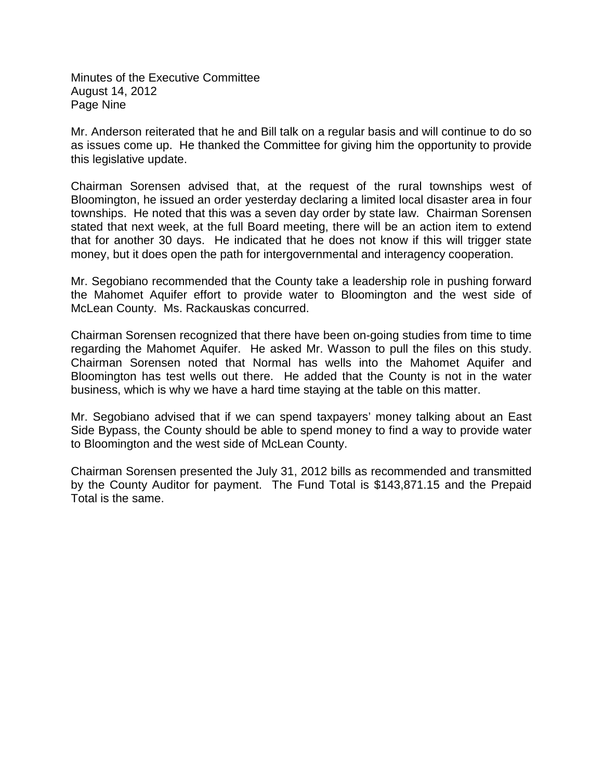Minutes of the Executive Committee August 14, 2012 Page Nine

Mr. Anderson reiterated that he and Bill talk on a regular basis and will continue to do so as issues come up. He thanked the Committee for giving him the opportunity to provide this legislative update.

Chairman Sorensen advised that, at the request of the rural townships west of Bloomington, he issued an order yesterday declaring a limited local disaster area in four townships. He noted that this was a seven day order by state law. Chairman Sorensen stated that next week, at the full Board meeting, there will be an action item to extend that for another 30 days. He indicated that he does not know if this will trigger state money, but it does open the path for intergovernmental and interagency cooperation.

Mr. Segobiano recommended that the County take a leadership role in pushing forward the Mahomet Aquifer effort to provide water to Bloomington and the west side of McLean County. Ms. Rackauskas concurred.

Chairman Sorensen recognized that there have been on-going studies from time to time regarding the Mahomet Aquifer. He asked Mr. Wasson to pull the files on this study. Chairman Sorensen noted that Normal has wells into the Mahomet Aquifer and Bloomington has test wells out there. He added that the County is not in the water business, which is why we have a hard time staying at the table on this matter.

Mr. Segobiano advised that if we can spend taxpayers' money talking about an East Side Bypass, the County should be able to spend money to find a way to provide water to Bloomington and the west side of McLean County.

Chairman Sorensen presented the July 31, 2012 bills as recommended and transmitted by the County Auditor for payment. The Fund Total is \$143,871.15 and the Prepaid Total is the same.